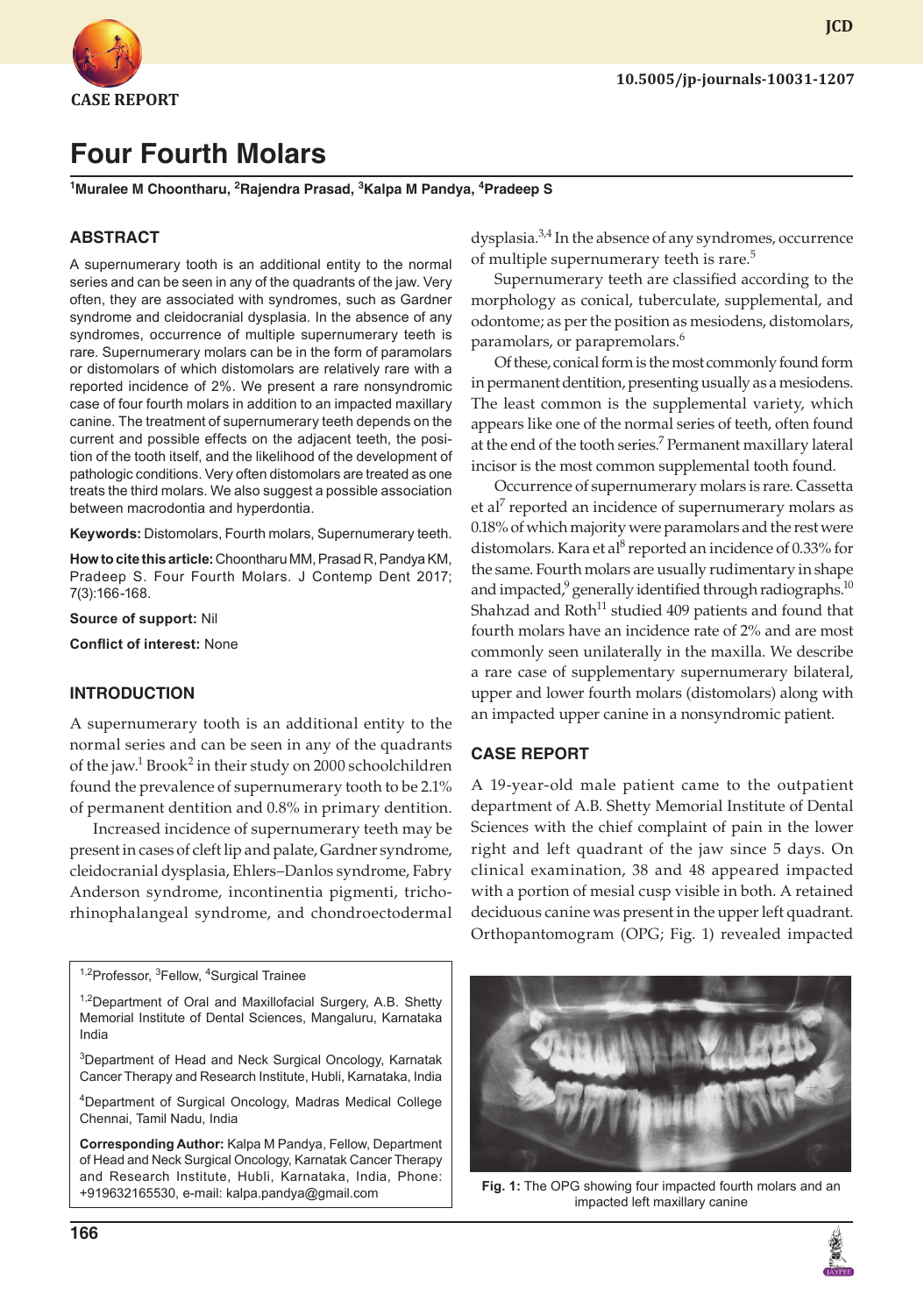

# **Four Fourth Molars**

**1 Muralee M Choontharu, 2 Rajendra Prasad, <sup>3</sup> Kalpa M Pandya, 4 Pradeep S**

#### **ABSTRACT**

A supernumerary tooth is an additional entity to the normal series and can be seen in any of the quadrants of the jaw. Very often, they are associated with syndromes, such as Gardner syndrome and cleidocranial dysplasia. In the absence of any syndromes, occurrence of multiple supernumerary teeth is rare. Supernumerary molars can be in the form of paramolars or distomolars of which distomolars are relatively rare with a reported incidence of 2%. We present a rare nonsyndromic case of four fourth molars in addition to an impacted maxillary canine. The treatment of supernumerary teeth depends on the current and possible effects on the adjacent teeth, the position of the tooth itself, and the likelihood of the development of pathologic conditions. Very often distomolars are treated as one treats the third molars. We also suggest a possible association between macrodontia and hyperdontia.

**Keywords:** Distomolars, Fourth molars, Supernumerary teeth.

**How to cite this article:** Choontharu MM, Prasad R, Pandya KM, Pradeep S. Four Fourth Molars. J Contemp Dent 2017; 7(3):166-168.

**Source of support:** Nil

**Conflict of interest:** None

#### **INTRODUCTION**

A supernumerary tooth is an additional entity to the normal series and can be seen in any of the quadrants of the jaw.<sup>1</sup> Brook<sup>2</sup> in their study on 2000 schoolchildren found the prevalence of supernumerary tooth to be 2.1% of permanent dentition and 0.8% in primary dentition.

Increased incidence of supernumerary teeth may be present in cases of cleft lip and palate, Gardner syndrome, cleidocranial dysplasia, Ehlers–Danlos syndrome, Fabry Anderson syndrome, incontinentia pigmenti, trichorhinophalangeal syndrome, and chondroectodermal

<sup>1,2</sup>Professor, <sup>3</sup>Fellow, <sup>4</sup>Surgical Trainee

<sup>1,2</sup>Department of Oral and Maxillofacial Surgery, A.B. Shetty Memorial Institute of Dental Sciences, Mangaluru, Karnataka India

<sup>3</sup>Department of Head and Neck Surgical Oncology, Karnatak Cancer Therapy and Research Institute, Hubli, Karnataka, India

4 Department of Surgical Oncology, Madras Medical College Chennai, Tamil Nadu, India

**Corresponding Author:** Kalpa M Pandya, Fellow, Department of Head and Neck Surgical Oncology, Karnatak Cancer Therapy and Research Institute, Hubli, Karnataka, India, Phone: +919632165530, e-mail: kalpa.pandya@gmail.com

dysplasia.<sup>3,4</sup> In the absence of any syndromes, occurrence of multiple supernumerary teeth is rare.<sup>5</sup>

Supernumerary teeth are classified according to the morphology as conical, tuberculate, supplemental, and odontome; as per the position as mesiodens, distomolars, paramolars, or parapremolars.<sup>6</sup>

Of these, conical form is the most commonly found form in permanent dentition, presenting usually as a mesiodens. The least common is the supplemental variety, which appears like one of the normal series of teeth, often found at the end of the tooth series.<sup>7</sup> Permanent maxillary lateral incisor is the most common supplemental tooth found.

Occurrence of supernumerary molars is rare. Cassetta et al<sup>7</sup> reported an incidence of supernumerary molars as 0.18% of which majority were paramolars and the rest were distomolars. Kara et al<sup>8</sup> reported an incidence of 0.33% for the same. Fourth molars are usually rudimentary in shape and impacted, $^9$  generally identified through radiographs. $^{\rm 10}$ Shahzad and  $Roth<sup>11</sup>$  studied 409 patients and found that fourth molars have an incidence rate of 2% and are most commonly seen unilaterally in the maxilla. We describe a rare case of supplementary supernumerary bilateral, upper and lower fourth molars (distomolars) along with an impacted upper canine in a nonsyndromic patient.

#### **CASE REPORT**

A 19-year-old male patient came to the outpatient department of A.B. Shetty Memorial Institute of Dental Sciences with the chief complaint of pain in the lower right and left quadrant of the jaw since 5 days. On clinical examination, 38 and 48 appeared impacted with a portion of mesial cusp visible in both. A retained deciduous canine was present in the upper left quadrant. Orthopantomogram (OPG; Fig. 1) revealed impacted



**Fig. 1:** The OPG showing four impacted fourth molars and an impacted left maxillary canine



**JCD**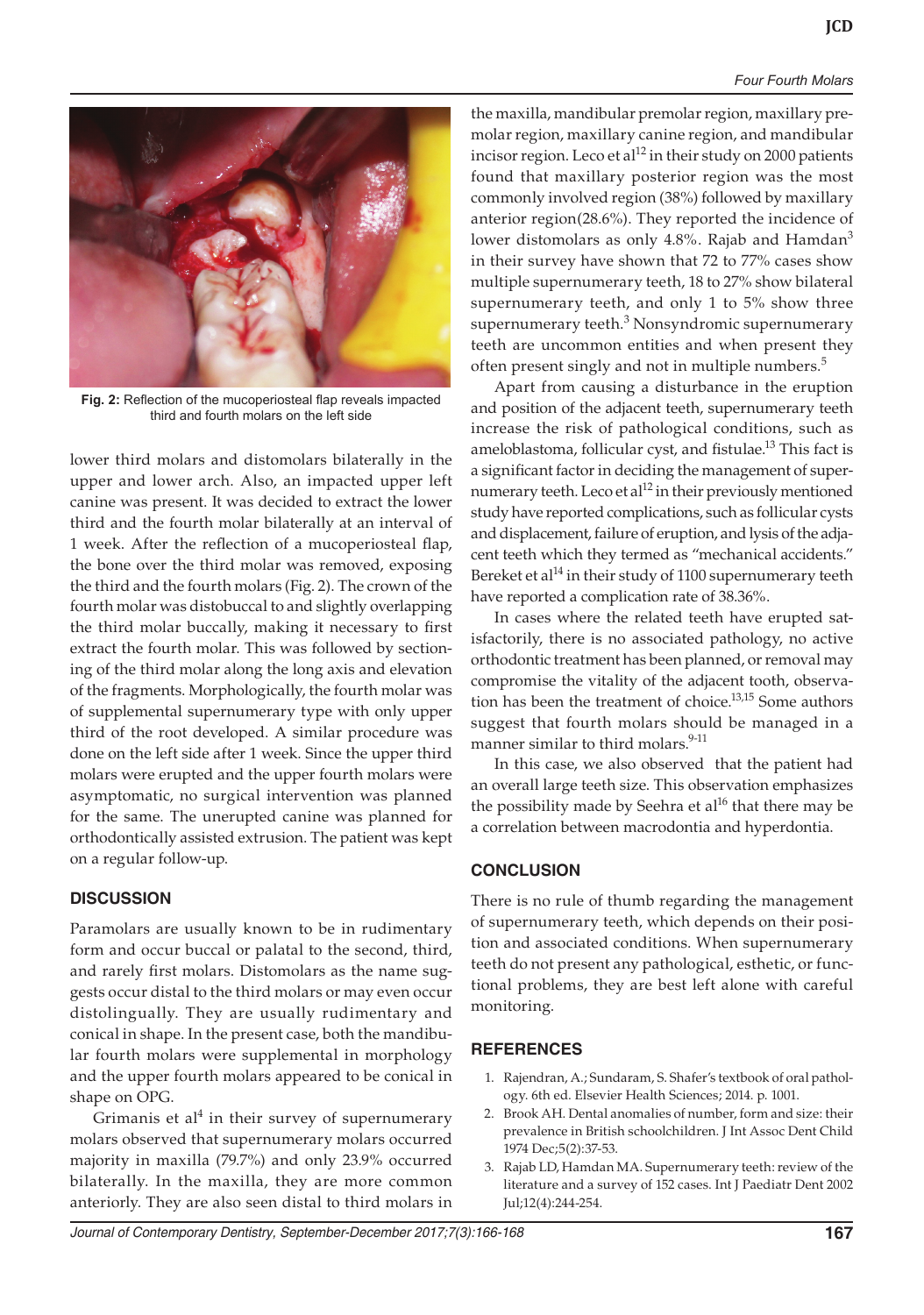#### *Four Fourth Molars*



**Fig. 2:** Reflection of the mucoperiosteal flap reveals impacted third and fourth molars on the left side

lower third molars and distomolars bilaterally in the upper and lower arch. Also, an impacted upper left canine was present. It was decided to extract the lower third and the fourth molar bilaterally at an interval of 1 week. After the reflection of a mucoperiosteal flap, the bone over the third molar was removed, exposing the third and the fourth molars (Fig. 2). The crown of the fourth molar was distobuccal to and slightly overlapping the third molar buccally, making it necessary to first extract the fourth molar. This was followed by sectioning of the third molar along the long axis and elevation of the fragments. Morphologically, the fourth molar was of supplemental supernumerary type with only upper third of the root developed. A similar procedure was done on the left side after 1 week. Since the upper third molars were erupted and the upper fourth molars were asymptomatic, no surgical intervention was planned for the same. The unerupted canine was planned for orthodontically assisted extrusion. The patient was kept on a regular follow-up.

## **DISCUSSION**

Paramolars are usually known to be in rudimentary form and occur buccal or palatal to the second, third, and rarely first molars. Distomolars as the name suggests occur distal to the third molars or may even occur distolingually. They are usually rudimentary and conical in shape. In the present case, both the mandibular fourth molars were supplemental in morphology and the upper fourth molars appeared to be conical in shape on OPG.

Grimanis et al<sup>4</sup> in their survey of supernumerary molars observed that supernumerary molars occurred majority in maxilla (79.7%) and only 23.9% occurred bilaterally. In the maxilla, they are more common anteriorly. They are also seen distal to third molars in

the maxilla, mandibular premolar region, maxillary premolar region, maxillary canine region, and mandibular incisor region. Leco et al $^{12}$  in their study on 2000 patients found that maxillary posterior region was the most commonly involved region (38%) followed by maxillary anterior region(28.6%). They reported the incidence of lower distomolars as only 4.8%. Rajab and Hamdan<sup>3</sup> in their survey have shown that 72 to 77% cases show multiple supernumerary teeth, 18 to 27% show bilateral supernumerary teeth, and only 1 to 5% show three supernumerary teeth.<sup>3</sup> Nonsyndromic supernumerary teeth are uncommon entities and when present they often present singly and not in multiple numbers.<sup>5</sup>

Apart from causing a disturbance in the eruption and position of the adjacent teeth, supernumerary teeth increase the risk of pathological conditions, such as ameloblastoma, follicular cyst, and fistulae.<sup>13</sup> This fact is a significant factor in deciding the management of supernumerary teeth. Leco et al<sup>12</sup> in their previously mentioned study have reported complications, such as follicular cysts and displacement, failure of eruption, and lysis of the adjacent teeth which they termed as "mechanical accidents." Bereket et al<sup>14</sup> in their study of 1100 supernumerary teeth have reported a complication rate of 38.36%.

In cases where the related teeth have erupted satisfactorily, there is no associated pathology, no active orthodontic treatment has been planned, or removal may compromise the vitality of the adjacent tooth, observation has been the treatment of choice.<sup>13,15</sup> Some authors suggest that fourth molars should be managed in a manner similar to third molars.<sup>9-11</sup>

In this case, we also observed that the patient had an overall large teeth size. This observation emphasizes the possibility made by Seehra et  $al^{16}$  that there may be a correlation between macrodontia and hyperdontia.

# **CONCLUSION**

There is no rule of thumb regarding the management of supernumerary teeth, which depends on their position and associated conditions. When supernumerary teeth do not present any pathological, esthetic, or functional problems, they are best left alone with careful monitoring.

## **REFERENCES**

- 1. Rajendran, A.; Sundaram, S. Shafer's textbook of oral pathology. 6th ed. Elsevier Health Sciences; 2014. p. 1001.
- 2. Brook AH. Dental anomalies of number, form and size: their prevalence in British schoolchildren. J Int Assoc Dent Child 1974 Dec;5(2):37-53.
- 3. Rajab LD, Hamdan MA. Supernumerary teeth: review of the literature and a survey of 152 cases. Int J Paediatr Dent 2002 Jul;12(4):244-254.